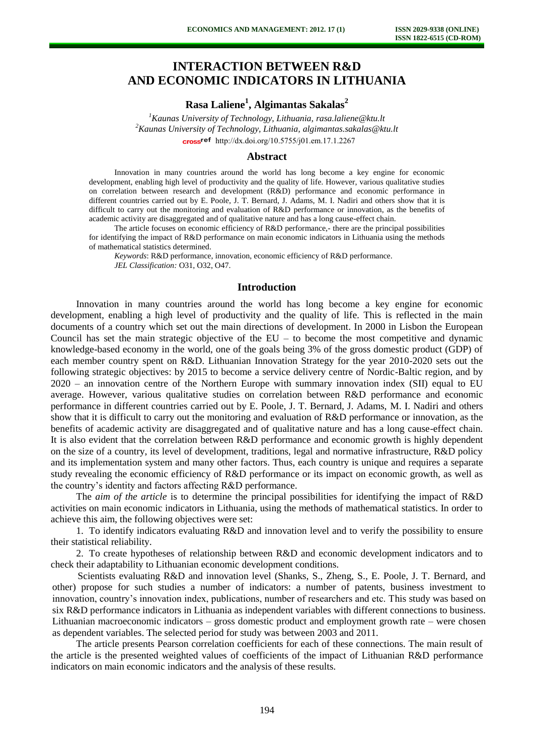# **INTERACTION BETWEEN R&D AND ECONOMIC INDICATORS IN LITHUANIA**

**Rasa Laliene<sup>1</sup> , Algimantas Sakalas<sup>2</sup>**

*<sup>1</sup>Kaunas University of Technology, Lithuania, [rasa.laliene@ktu.lt](mailto:rasa.laliene@ktu.lt) <sup>2</sup>Kaunas University of Technology, Lithuania, algimantas.sakalas@ktu.lt*  cross<sup>ref</sup> [http://dx.doi.org/10.5755/j01.e](http://dx.doi.org/10.5755/j01.em.17.1.2267)m.17.1.2267

### **Abstract**

Innovation in many countries around the world has long become a key engine for economic development, enabling high level of productivity and the quality of life. However, various qualitative studies on correlation between research and development (R&D) performance and economic performance in different countries carried out by E. Poole, J. T. Bernard, J. Adams, M. I. Nadiri and others show that it is difficult to carry out the monitoring and evaluation of R&D performance or innovation, as the benefits of academic activity are disaggregated and of qualitative nature and has a long cause-effect chain.

The article focuses on economic efficiency of R&D performance,- there are the principal possibilities for identifying the impact of R&D performance on main economic indicators in Lithuania using the methods of mathematical statistics determined.

*Keywords*: R&D performance, innovation, economic efficiency of R&D performance. *JEL Classification:* O31, O32, O47.

### **Introduction**

Innovation in many countries around the world has long become a key engine for economic development, enabling a high level of productivity and the quality of life. This is reflected in the main documents of a country which set out the main directions of development. In 2000 in Lisbon the European Council has set the main strategic objective of the  $EU -$  to become the most competitive and dynamic knowledge-based economy in the world, one of the goals being 3% of the gross domestic product (GDP) of each member country spent on R&D. Lithuanian Innovation Strategy for the year 2010-2020 sets out the following strategic objectives: by 2015 to become a service delivery centre of Nordic-Baltic region, and by 2020 – an innovation centre of the Northern Europe with summary innovation index (SII) equal to EU average. However, various qualitative studies on correlation between R&D performance and economic performance in different countries carried out by E. Poole, J. T. Bernard, J. Adams, M. I. Nadiri and others show that it is difficult to carry out the monitoring and evaluation of R&D performance or innovation, as the benefits of academic activity are disaggregated and of qualitative nature and has a long cause-effect chain. It is also evident that the correlation between R&D performance and economic growth is highly dependent on the size of a country, its level of development, traditions, legal and normative infrastructure, R&D policy and its implementation system and many other factors. Thus, each country is unique and requires a separate study revealing the economic efficiency of R&D performance or its impact on economic growth, as well as the country's identity and factors affecting R&D performance.

The *aim of the article* is to determine the principal possibilities for identifying the impact of R&D activities on main economic indicators in Lithuania, using the methods of mathematical statistics. In order to achieve this aim, the following objectives were set:

1. To identify indicators evaluating R&D and innovation level and to verify the possibility to ensure their statistical reliability.

2. To create hypotheses of relationship between R&D and economic development indicators and to check their adaptability to Lithuanian economic development conditions.

Scientists evaluating R&D and innovation level (Shanks, S., Zheng, S., E. Poole, J. T. Bernard, and other) propose for such studies a number of indicators: a number of patents, business investment to innovation, country's innovation index, publications, number of researchers and etc. This study was based on six R&D performance indicators in Lithuania as independent variables with different connections to business. Lithuanian macroeconomic indicators – gross domestic product and employment growth rate – were chosen as dependent variables. The selected period for study was between 2003 and 2011.

The article presents Pearson correlation coefficients for each of these connections. The main result of the article is the presented weighted values of coefficients of the impact of Lithuanian R&D performance indicators on main economic indicators and the analysis of these results.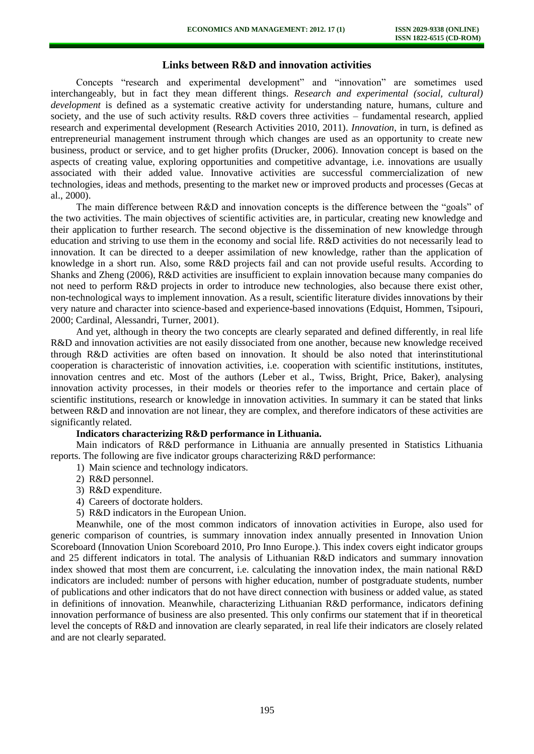## **Links between R&D and innovation activities**

Concepts "research and experimental development" and "innovation" are sometimes used interchangeably, but in fact they mean different things. *Research and experimental (social, cultural) development* is defined as a systematic creative activity for understanding nature, humans, culture and society, and the use of such activity results. R&D covers three activities – fundamental research, applied research and experimental development (Research Activities 2010, 2011). *Innovation*, in turn, is defined as entrepreneurial management instrument through which changes are used as an opportunity to create new business, product or service, and to get higher profits (Drucker, 2006). Innovation concept is based on the aspects of creating value, exploring opportunities and competitive advantage, i.e. innovations are usually associated with their added value. Innovative activities are successful commercialization of new technologies, ideas and methods, presenting to the market new or improved products and processes (Gecas at al., 2000).

The main difference between R&D and innovation concepts is the difference between the "goals" of the two activities. The main objectives of scientific activities are, in particular, creating new knowledge and their application to further research. The second objective is the dissemination of new knowledge through education and striving to use them in the economy and social life. R&D activities do not necessarily lead to innovation. It can be directed to a deeper assimilation of new knowledge, rather than the application of knowledge in a short run. Also, some R&D projects fail and can not provide useful results. According to Shanks and Zheng (2006), R&D activities are insufficient to explain innovation because many companies do not need to perform R&D projects in order to introduce new technologies, also because there exist other, non-technological ways to implement innovation. As a result, scientific literature divides innovations by their very nature and character into science-based and experience-based innovations (Edquist, Hommen, Tsipouri, 2000; Cardinal, Alessandri, Turner, 2001).

And yet, although in theory the two concepts are clearly separated and defined differently, in real life R&D and innovation activities are not easily dissociated from one another, because new knowledge received through R&D activities are often based on innovation. It should be also noted that interinstitutional cooperation is characteristic of innovation activities, i.e. cooperation with scientific institutions, institutes, innovation centres and etc. Most of the authors (Leber et al., Twiss, Bright, Price, Baker), analysing innovation activity processes, in their models or theories refer to the importance and certain place of scientific institutions, research or knowledge in innovation activities. In summary it can be stated that links between R&D and innovation are not linear, they are complex, and therefore indicators of these activities are significantly related.

### **Indicators characterizing R&D performance in Lithuania.**

Main indicators of R&D performance in Lithuania are annually presented in Statistics Lithuania reports. The following are five indicator groups characterizing R&D performance:

- 1) Main science and technology indicators.
- 2) R&D personnel.
- 3) R&D expenditure.
- 4) Careers of doctorate holders.
- 5) R&D indicators in the European Union.

 Meanwhile, one of the most common indicators of innovation activities in Europe, also used for generic comparison of countries, is summary innovation index annually presented in Innovation Union Scoreboard (Innovation Union Scoreboard 2010, Pro Inno Europe.). This index covers eight indicator groups and 25 different indicators in total. The analysis of Lithuanian R&D indicators and summary innovation index showed that most them are concurrent, i.e. calculating the innovation index, the main national R&D indicators are included: number of persons with higher education, number of postgraduate students, number of publications and other indicators that do not have direct connection with business or added value, as stated in definitions of innovation. Meanwhile, characterizing Lithuanian R&D performance, indicators defining innovation performance of business are also presented. This only confirms our statement that if in theoretical level the concepts of R&D and innovation are clearly separated, in real life their indicators are closely related and are not clearly separated.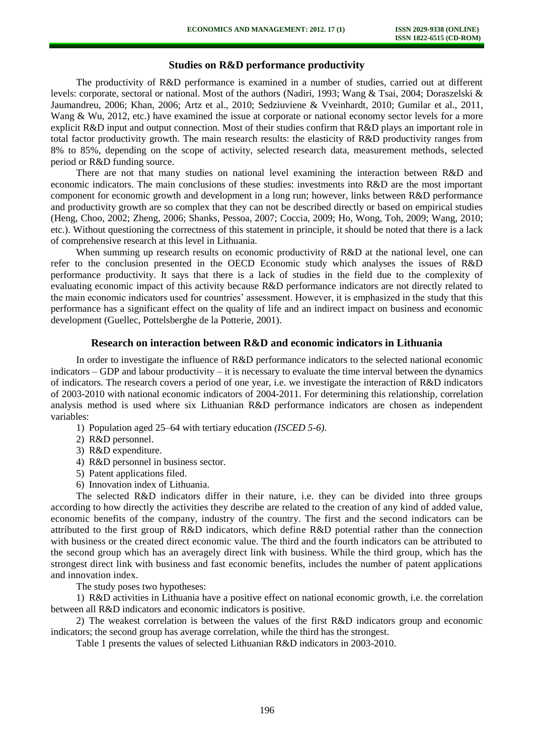## **Studies on R&D performance productivity**

The productivity of R&D performance is examined in a number of studies, carried out at different levels: corporate, sectoral or national. Most of the authors (Nadiri, 1993; Wang & Tsai, 2004; Doraszelski & Jaumandreu, 2006; Khan, 2006; Artz et al., 2010; Sedziuviene & Vveinhardt, 2010; Gumilar et al., 2011, Wang & Wu, 2012, etc.) have examined the issue at corporate or national economy sector levels for a more explicit R&D input and output connection. Most of their studies confirm that R&D plays an important role in total factor productivity growth. The main research results: the elasticity of R&D productivity ranges from 8% to 85%, depending on the scope of activity, selected research data, measurement methods, selected period or R&D funding source.

There are not that many studies on national level examining the interaction between R&D and economic indicators. The main conclusions of these studies: investments into R&D are the most important component for economic growth and development in a long run; however, links between R&D performance and productivity growth are so complex that they can not be described directly or based on empirical studies (Heng, Choo, 2002; Zheng, 2006; Shanks, Pessoa, 2007; Coccia, 2009; Ho, Wong, Toh, 2009; Wang, 2010; etc.). Without questioning the correctness of this statement in principle, it should be noted that there is a lack of comprehensive research at this level in Lithuania.

When summing up research results on economic productivity of R&D at the national level, one can refer to the conclusion presented in the OECD Economic study which analyses the issues of R&D performance productivity. It says that there is a lack of studies in the field due to the complexity of evaluating economic impact of this activity because R&D performance indicators are not directly related to the main economic indicators used for countries' assessment. However, it is emphasized in the study that this performance has a significant effect on the quality of life and an indirect impact on business and economic development (Guellec, Pottelsberghe de la Potterie, 2001).

### **Research on interaction between R&D and economic indicators in Lithuania**

In order to investigate the influence of R&D performance indicators to the selected national economic indicators – GDP and labour productivity – it is necessary to evaluate the time interval between the dynamics of indicators. The research covers a period of one year, i.e. we investigate the interaction of R&D indicators of 2003-2010 with national economic indicators of 2004-2011. For determining this relationship, correlation analysis method is used where six Lithuanian R&D performance indicators are chosen as independent variables:

- 1) Population aged 25–64 with tertiary education *(ISCED 5-6)*.
- 2) R&D personnel.
- 3) R&D expenditure.
- 4) R&D personnel in business sector.
- 5) Patent applications filed.
- 6) Innovation index of Lithuania.

The selected R&D indicators differ in their nature, i.e. they can be divided into three groups according to how directly the activities they describe are related to the creation of any kind of added value, economic benefits of the company, industry of the country. The first and the second indicators can be attributed to the first group of R&D indicators, which define R&D potential rather than the connection with business or the created direct economic value. The third and the fourth indicators can be attributed to the second group which has an averagely direct link with business. While the third group, which has the strongest direct link with business and fast economic benefits, includes the number of patent applications and innovation index.

The study poses two hypotheses:

1) R&D activities in Lithuania have a positive effect on national economic growth, i.e. the correlation between all R&D indicators and economic indicators is positive.

2) The weakest correlation is between the values of the first R&D indicators group and economic indicators; the second group has average correlation, while the third has the strongest.

Table 1 presents the values of selected Lithuanian R&D indicators in 2003-2010.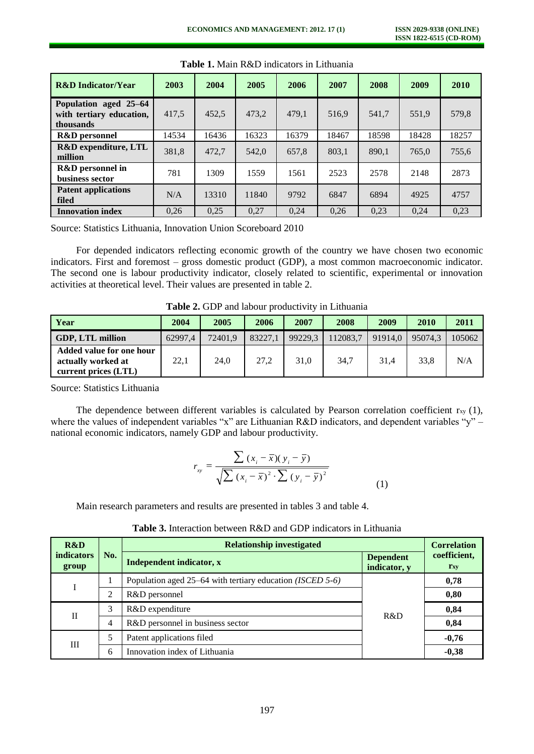| <b>R&amp;D</b> Indicator/Year                                  | 2003  | 2004  | 2005  | 2006  | 2007  | 2008  | 2009  | 2010  |
|----------------------------------------------------------------|-------|-------|-------|-------|-------|-------|-------|-------|
| Population aged 25-64<br>with tertiary education,<br>thousands | 417,5 | 452,5 | 473,2 | 479,1 | 516.9 | 541,7 | 551,9 | 579,8 |
| <b>R&amp;D</b> personnel                                       | 14534 | 16436 | 16323 | 16379 | 18467 | 18598 | 18428 | 18257 |
| R&D expenditure, LTL<br>million                                | 381,8 | 472.7 | 542.0 | 657.8 | 803.1 | 890,1 | 765,0 | 755,6 |
| <b>R&amp;D</b> personnel in<br>business sector                 | 781   | 1309  | 1559  | 1561  | 2523  | 2578  | 2148  | 2873  |
| <b>Patent applications</b><br>filed                            | N/A   | 13310 | 11840 | 9792  | 6847  | 6894  | 4925  | 4757  |
| <b>Innovation index</b>                                        | 0.26  | 0,25  | 0,27  | 0.24  | 0,26  | 0,23  | 0.24  | 0,23  |

**Table 1.** Main R&D indicators in Lithuania

Source: Statistics Lithuania, Innovation Union Scoreboard 2010

For depended indicators reflecting economic growth of the country we have chosen two economic indicators. First and foremost – gross domestic product (GDP), a most common macroeconomic indicator. The second one is labour productivity indicator, closely related to scientific, experimental or innovation activities at theoretical level. Their values are presented in table 2.

| Year                                                                          | 2004    | 2005    | 2006    | 2007    | 2008     | 2009    | 2010    | 2011   |
|-------------------------------------------------------------------------------|---------|---------|---------|---------|----------|---------|---------|--------|
| <b>GDP, LTL million</b>                                                       | 62997.4 | 72401.9 | 83227.1 | 99229.3 | 112083,7 | 91914.0 | 95074.3 | 105062 |
| <b>Added value for one hour</b><br>actually worked at<br>current prices (LTL) | 22,1    | 24,0    | 27,2    | 31,0    | 34,7     | 31,4    | 33,8    | N/A    |

**Table 2.** GDP and labour productivity in Lithuania

Source: Statistics Lithuania

The dependence between different variables is calculated by Pearson correlation coefficient  $r_{xy}$  (1), where the values of independent variables "x" are Lithuanian R&D indicators, and dependent variables "y" – national economic indicators, namely GDP and labour productivity.

$$
r_{xy} = \frac{\sum (x_i - \bar{x})(y_i - \bar{y})}{\sqrt{\sum (x_i - \bar{x})^2 \cdot \sum (y_i - \bar{y})^2}}
$$
(1)

Main research parameters and results are presented in tables 3 and table 4.

| R&D                        | No. | <b>Relationship investigated</b>                                  | <b>Correlation</b>               |                            |
|----------------------------|-----|-------------------------------------------------------------------|----------------------------------|----------------------------|
| <b>indicators</b><br>group |     | Independent indicator, x                                          | <b>Dependent</b><br>indicator, y | coefficient,<br><b>Txy</b> |
|                            |     | Population aged 25–64 with tertiary education ( <i>ISCED</i> 5-6) |                                  | 0,78                       |
|                            | 2   | R&D personnel                                                     |                                  | 0,80                       |
| $_{\rm II}$                | 3   | R&D expenditure                                                   | R&D                              | 0,84                       |
|                            | 4   | R&D personnel in business sector                                  |                                  | 0,84                       |
| Ш                          | 5   | Patent applications filed                                         |                                  | $-0,76$                    |
|                            | 6   | Innovation index of Lithuania                                     |                                  | $-0,38$                    |

**Table 3.** Interaction between R&D and GDP indicators in Lithuania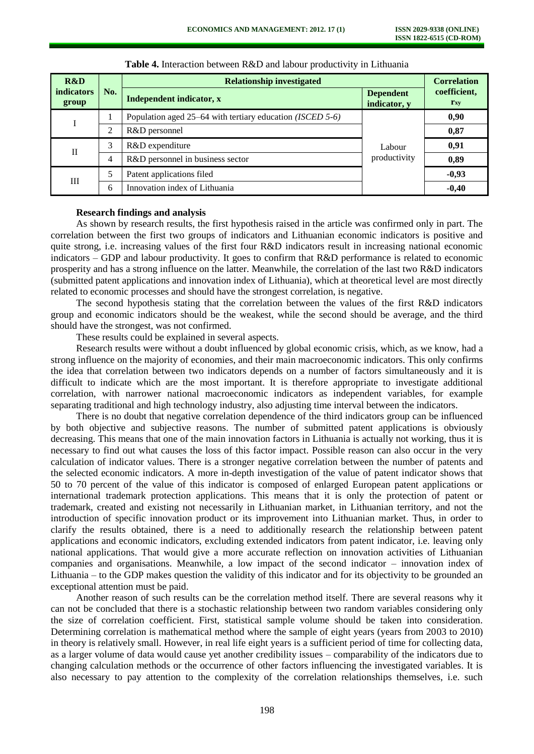| R&D                        |     | <b>Relationship investigated</b>                                  | <b>Correlation</b>               |                                   |  |
|----------------------------|-----|-------------------------------------------------------------------|----------------------------------|-----------------------------------|--|
| <b>indicators</b><br>group | No. | Independent indicator, x                                          | <b>Dependent</b><br>indicator, y | coefficient,<br>$\mathbf{r}_{xy}$ |  |
|                            |     | Population aged 25–64 with tertiary education ( <i>ISCED</i> 5-6) |                                  | 0,90                              |  |
|                            | 2   | R&D personnel                                                     |                                  | 0,87                              |  |
| П                          | 3   | R&D expenditure                                                   | Labour                           | 0,91                              |  |
|                            | 4   | R&D personnel in business sector                                  | productivity                     | 0,89                              |  |
| Ш                          | 5   | Patent applications filed                                         |                                  | $-0,93$                           |  |
|                            | 6   | Innovation index of Lithuania                                     |                                  | $-0,40$                           |  |

**Table 4.** Interaction between R&D and labour productivity in Lithuania

#### **Research findings and analysis**

As shown by research results, the first hypothesis raised in the article was confirmed only in part. The correlation between the first two groups of indicators and Lithuanian economic indicators is positive and quite strong, i.e. increasing values of the first four R&D indicators result in increasing national economic indicators – GDP and labour productivity. It goes to confirm that R&D performance is related to economic prosperity and has a strong influence on the latter. Meanwhile, the correlation of the last two R&D indicators (submitted patent applications and innovation index of Lithuania), which at theoretical level are most directly related to economic processes and should have the strongest correlation, is negative.

The second hypothesis stating that the correlation between the values of the first R&D indicators group and economic indicators should be the weakest, while the second should be average, and the third should have the strongest, was not confirmed.

These results could be explained in several aspects.

Research results were without a doubt influenced by global economic crisis, which, as we know, had a strong influence on the majority of economies, and their main macroeconomic indicators. This only confirms the idea that correlation between two indicators depends on a number of factors simultaneously and it is difficult to indicate which are the most important. It is therefore appropriate to investigate additional correlation, with narrower national macroeconomic indicators as independent variables, for example separating traditional and high technology industry, also adjusting time interval between the indicators.

There is no doubt that negative correlation dependence of the third indicators group can be influenced by both objective and subjective reasons. The number of submitted patent applications is obviously decreasing. This means that one of the main innovation factors in Lithuania is actually not working, thus it is necessary to find out what causes the loss of this factor impact. Possible reason can also occur in the very calculation of indicator values. There is a stronger negative correlation between the number of patents and the selected economic indicators. A more in-depth investigation of the value of patent indicator shows that 50 to 70 percent of the value of this indicator is composed of enlarged European patent applications or international trademark protection applications. This means that it is only the protection of patent or trademark, created and existing not necessarily in Lithuanian market, in Lithuanian territory, and not the introduction of specific innovation product or its improvement into Lithuanian market. Thus, in order to clarify the results obtained, there is a need to additionally research the relationship between patent applications and economic indicators, excluding extended indicators from patent indicator, i.e. leaving only national applications. That would give a more accurate reflection on innovation activities of Lithuanian companies and organisations. Meanwhile, a low impact of the second indicator – innovation index of Lithuania – to the GDP makes question the validity of this indicator and for its objectivity to be grounded an exceptional attention must be paid.

Another reason of such results can be the correlation method itself. There are several reasons why it can not be concluded that there is a stochastic relationship between two random variables considering only the size of correlation coefficient. First, statistical sample volume should be taken into consideration. Determining correlation is mathematical method where the sample of eight years (years from 2003 to 2010) in theory is relatively small. However, in real life eight years is a sufficient period of time for collecting data, as a larger volume of data would cause yet another credibility issues – comparability of the indicators due to changing calculation methods or the occurrence of other factors influencing the investigated variables. It is also necessary to pay attention to the complexity of the correlation relationships themselves, i.e. such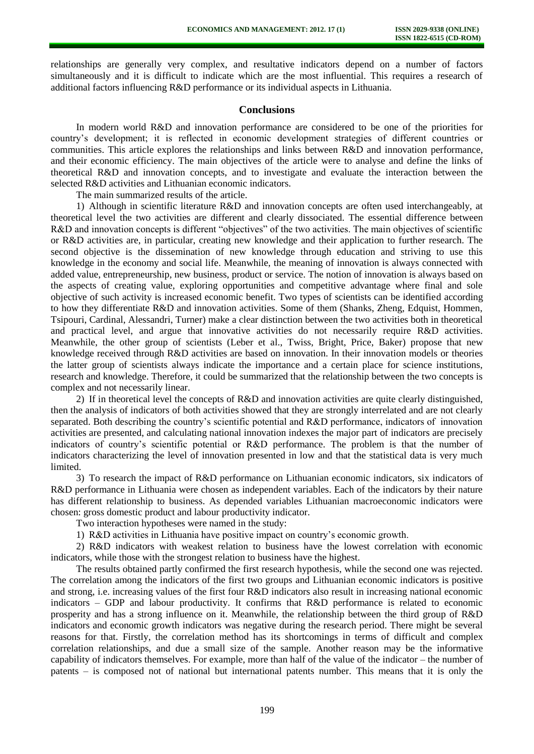relationships are generally very complex, and resultative indicators depend on a number of factors simultaneously and it is difficult to indicate which are the most influential. This requires a research of additional factors influencing R&D performance or its individual aspects in Lithuania.

### **Conclusions**

In modern world R&D and innovation performance are considered to be one of the priorities for country's development; it is reflected in economic development strategies of different countries or communities. This article explores the relationships and links between R&D and innovation performance, and their economic efficiency. The main objectives of the article were to analyse and define the links of theoretical R&D and innovation concepts, and to investigate and evaluate the interaction between the selected R&D activities and Lithuanian economic indicators.

The main summarized results of the article.

1) Although in scientific literature R&D and innovation concepts are often used interchangeably, at theoretical level the two activities are different and clearly dissociated. The essential difference between R&D and innovation concepts is different "objectives" of the two activities. The main objectives of scientific or R&D activities are, in particular, creating new knowledge and their application to further research. The second objective is the dissemination of new knowledge through education and striving to use this knowledge in the economy and social life. Meanwhile, the meaning of innovation is always connected with added value, entrepreneurship, new business, product or service. The notion of innovation is always based on the aspects of creating value, exploring opportunities and competitive advantage where final and sole objective of such activity is increased economic benefit. Two types of scientists can be identified according to how they differentiate R&D and innovation activities. Some of them (Shanks, Zheng, Edquist, Hommen, Tsipouri, Cardinal, Alessandri, Turner) make a clear distinction between the two activities both in theoretical and practical level, and argue that innovative activities do not necessarily require R&D activities. Meanwhile, the other group of scientists (Leber et al., Twiss, Bright, Price, Baker) propose that new knowledge received through R&D activities are based on innovation. In their innovation models or theories the latter group of scientists always indicate the importance and a certain place for science institutions, research and knowledge. Therefore, it could be summarized that the relationship between the two concepts is complex and not necessarily linear.

2) If in theoretical level the concepts of R&D and innovation activities are quite clearly distinguished, then the analysis of indicators of both activities showed that they are strongly interrelated and are not clearly separated. Both describing the country's scientific potential and R&D performance, indicators of innovation activities are presented, and calculating national innovation indexes the major part of indicators are precisely indicators of country's scientific potential or R&D performance. The problem is that the number of indicators characterizing the level of innovation presented in low and that the statistical data is very much limited.

3) To research the impact of R&D performance on Lithuanian economic indicators, six indicators of R&D performance in Lithuania were chosen as independent variables. Each of the indicators by their nature has different relationship to business. As depended variables Lithuanian macroeconomic indicators were chosen: gross domestic product and labour productivity indicator.

Two interaction hypotheses were named in the study:

1) R&D activities in Lithuania have positive impact on country's economic growth.

2) R&D indicators with weakest relation to business have the lowest correlation with economic indicators, while those with the strongest relation to business have the highest.

The results obtained partly confirmed the first research hypothesis, while the second one was rejected. The correlation among the indicators of the first two groups and Lithuanian economic indicators is positive and strong, i.e. increasing values of the first four R&D indicators also result in increasing national economic indicators – GDP and labour productivity. It confirms that R&D performance is related to economic prosperity and has a strong influence on it. Meanwhile, the relationship between the third group of R&D indicators and economic growth indicators was negative during the research period. There might be several reasons for that. Firstly, the correlation method has its shortcomings in terms of difficult and complex correlation relationships, and due a small size of the sample. Another reason may be the informative capability of indicators themselves. For example, more than half of the value of the indicator – the number of patents – is composed not of national but international patents number. This means that it is only the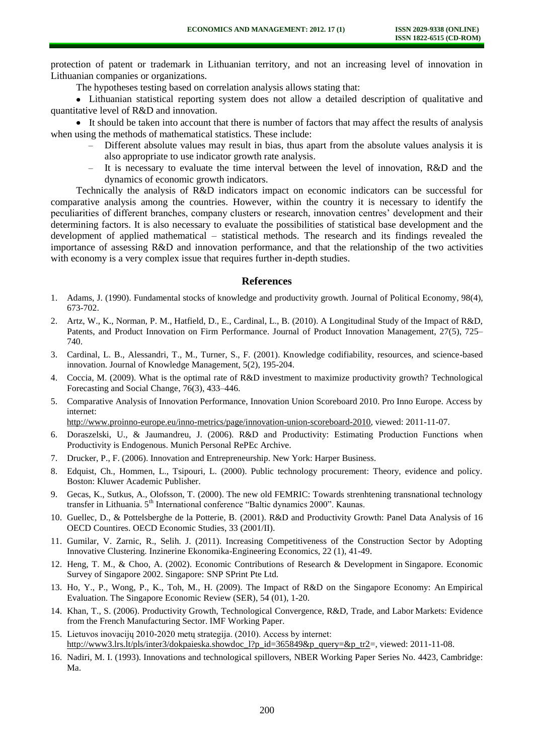protection of patent or trademark in Lithuanian territory, and not an increasing level of innovation in Lithuanian companies or organizations.

The hypotheses testing based on correlation analysis allows stating that:

Lithuanian statistical reporting system does not allow a detailed description of qualitative and quantitative level of R&D and innovation.

It should be taken into account that there is number of factors that may affect the results of analysis when using the methods of mathematical statistics. These include:

- Different absolute values may result in bias, thus apart from the absolute values analysis it is also appropriate to use indicator growth rate analysis.
- It is necessary to evaluate the time interval between the level of innovation, R&D and the dynamics of economic growth indicators.

Technically the analysis of R&D indicators impact on economic indicators can be successful for comparative analysis among the countries. However, within the country it is necessary to identify the peculiarities of different branches, company clusters or research, innovation centres' development and their determining factors. It is also necessary to evaluate the possibilities of statistical base development and the development of applied mathematical – statistical methods. The research and its findings revealed the importance of assessing R&D and innovation performance, and that the relationship of the two activities with economy is a very complex issue that requires further in-depth studies.

### **References**

- 1. Adams, J. (1990). Fundamental stocks of knowledge and productivity growth. Journal of Political Economy, 98(4), 673-702.
- 2. Artz, W., K., Norman, P. M., Hatfield, D., E., Cardinal, L., B. (2010). A Longitudinal Study of the Impact of R&D, Patents, and Product Innovation on Firm Performance. Journal of Product Innovation Management, 27(5), 725– 740.
- 3. Cardinal, L. B., Alessandri, T., M., Turner, S., F. (2001). Knowledge codifiability, resources, and science-based innovation. Journal of Knowledge Management, 5(2), 195-204.
- 4. Coccia, M. (2009). What is the optimal rate of R&D investment to maximize productivity growth? [Technological](http://www.sciencedirect.com/science/journal/00401625)  [Forecasting and Social Change,](http://www.sciencedirect.com/science/journal/00401625) [76\(3\)](http://www.sciencedirect.com/science/journal/00401625/76/3), 433–446.
- 5. Comparative Analysis of Innovation Performance, Innovation Union Scoreboard 2010. Pro Inno Europe. Access by internet:

[http://www.proinno-europe.eu/inno-metrics/page/innovation-union-scoreboard-2010,](http://www.proinno-europe.eu/inno-metrics/page/innovation-union-scoreboard-2010) viewed: 2011-11-07.

- 6. Doraszelski, U., & Jaumandreu, J. (2006). R&D and Productivity: Estimating Production Functions when Productivity is Endogenous. Munich Personal RePEc Archive.
- 7. Drucker, P., F. (2006). Innovation and Entrepreneurship. New York: Harper Business.
- 8. Edquist, Ch., Hommen, L., Tsipouri, L. (2000). Public technology procurement: Theory, evidence and policy. Boston: Kluwer Academic Publisher.
- 9. Gecas, K., Sutkus, A., Olofsson, T. (2000). The new old FEMRIC: Towards strenhtening transnational technology transfer in Lithuania. 5<sup>th</sup> International conference "Baltic dynamics 2000". Kaunas.
- 10. Guellec, D., & Pottelsberghe de la Potterie, B. (2001). R&D and Productivity Growth: Panel Data Analysis of 16 OECD Countires. OECD Economic Studies, 33 (2001/II).
- 11. Gumilar, V. Zarnic, R., Selih. J. (2011). Increasing Competitiveness of the Construction Sector by Adopting Innovative Clustering. Inzinerine Ekonomika-Engineering Economics, 22 (1), 41-49.
- 12. Heng, T. M., & Choo, A. (2002). Economic Contributions of Research & Development in Singapore. Economic Survey of Singapore 2002. Singapore: SNP SPrint Pte Ltd.
- 13. Ho, Y., P., Wong, P., K., Toh, M., H. (2009). The Impact of R&D on the Singapore Economy: An Empirical Evaluation. [The Singapore Economic Review \(SER\),](http://econpapers.repec.org/article/wsiserxxx/) 54 (01), 1-20.
- 14. Khan, T., S. (2006). Productivity Growth, Technological Convergence, R&D, Trade, and Labor Markets: Evidence from the French Manufacturing Sector. IMF Working Paper.
- 15. Lietuvos inovacijų 2010-2020 metų strategija. (2010). Access by internet: [http://www3.lrs.lt/pls/inter3/dokpaieska.showdoc\\_l?p\\_id=365849&p\\_query=&p\\_tr2=](http://www3.lrs.lt/pls/inter3/dokpaieska.showdoc_l?p_id=365849&p_query=&p_tr2), viewed: 2011-11-08.
- 16. Nadiri, M. I. (1993). Innovations and technological spillovers, NBER Working Paper Series No. 4423, Cambridge: Ma.